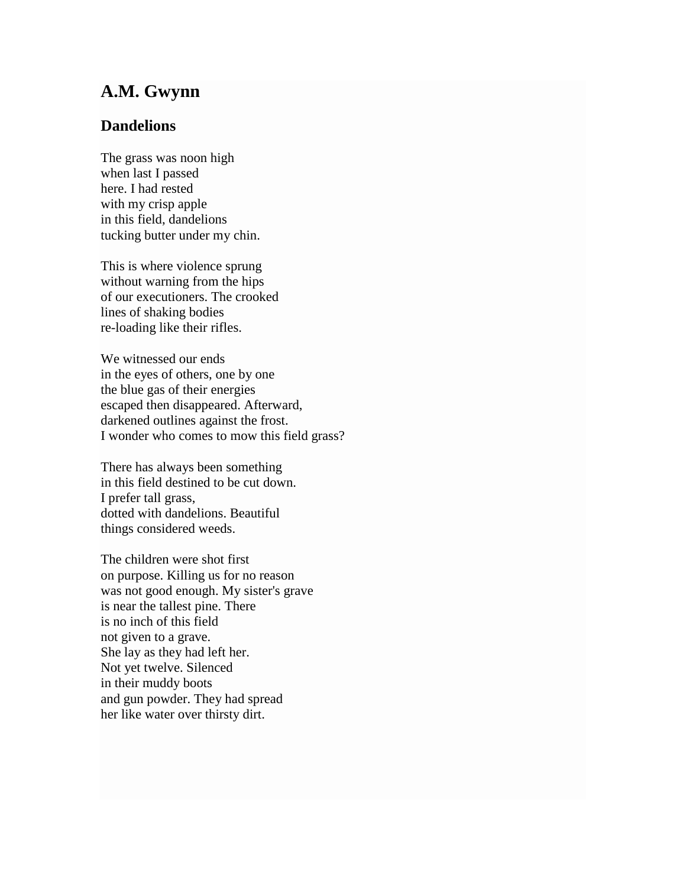## **A.M. Gwynn**

## **Dandelions**

The grass was noon high when last I passed here. I had rested with my crisp apple in this field, dandelions tucking butter under my chin.

This is where violence sprung without warning from the hips of our executioners. The crooked lines of shaking bodies re-loading like their rifles.

We witnessed our ends in the eyes of others, one by one the blue gas of their energies escaped then disappeared. Afterward, darkened outlines against the frost. I wonder who comes to mow this field grass?

There has always been something in this field destined to be cut down. I prefer tall grass, dotted with dandelions. Beautiful things considered weeds.

The children were shot first on purpose. Killing us for no reason was not good enough. My sister's grave is near the tallest pine. There is no inch of this field not given to a grave. She lay as they had left her. Not yet twelve. Silenced in their muddy boots and gun powder. They had spread her like water over thirsty dirt.